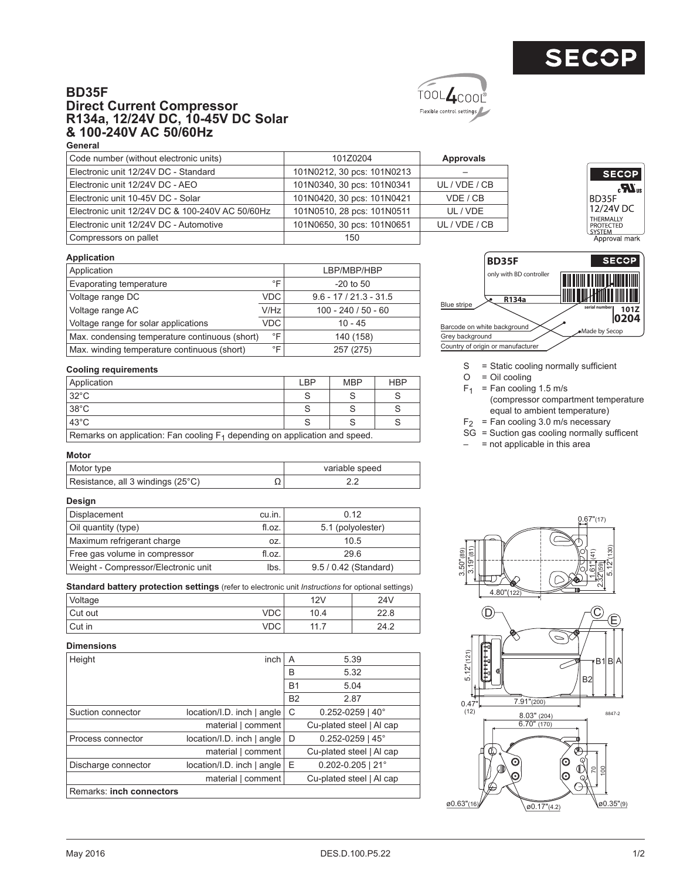

**SECOP**  $\boldsymbol{Z}$ 

BD35F 12/24V DC THERMALLY<br>PROTECTED<br>SYSTEM<br>Approval mark





## Code number (without electronic units) 101Z0204 **Approvals** Electronic unit 12/24V DC - Standard 101N0212, 30 pcs: 101N0213 – Electronic unit 12/24V DC - AEO 101N0340, 30 pcs: 101N0341 UL / VDE / CB Electronic unit 10-45V DC - Solar 101N0420, 30 pcs: 101N0421 VDE / CB Electronic unit 12/24V DC & 100-240V AC 50/60Hz 101N0510, 28 pcs: 101N0511 UL / VDE Electronic unit 12/24V DC - Automotive 101N0650, 30 pcs: 101N0651 UL / VDE / CB Compressors on pallet 150

**Application**

| Application                                    |                  | LBP/MBP/HBP              |
|------------------------------------------------|------------------|--------------------------|
| Evaporating temperature                        | °F               | $-20$ to 50              |
| Voltage range DC                               | VDC.             | $9.6 - 17 / 21.3 - 31.5$ |
| Voltage range AC                               | V/H <sub>Z</sub> | $100 - 240 / 50 - 60$    |
| Voltage range for solar applications           | VDC.             | $10 - 45$                |
| Max. condensing temperature continuous (short) | °F               | 140 (158)                |
| Max. winding temperature continuous (short)    | $^{\circ}$ F     | 257 (275)                |

## **Cooling requirements**

| Application                                                                   | I BP | <b>MBP</b> | <b>HBP</b> |  |  |  |  |  |  |
|-------------------------------------------------------------------------------|------|------------|------------|--|--|--|--|--|--|
| $32^{\circ}$ C                                                                |      |            |            |  |  |  |  |  |  |
| $38^{\circ}$ C                                                                |      |            |            |  |  |  |  |  |  |
| $43^{\circ}$ C                                                                |      |            |            |  |  |  |  |  |  |
| Remarks on application: Fan cooling $F_1$ depending on application and speed. |      |            |            |  |  |  |  |  |  |

Remarks on application: Fan cooling  $F_1$  depending on application and speed. **Motor**

| Motor type                        |    | variable speed |
|-----------------------------------|----|----------------|
| Resistance, all 3 windings (25°C) | ∸∸ |                |

## **Design**

| Displacement                        | cu.in. | 0.12                  |
|-------------------------------------|--------|-----------------------|
| Oil quantity (type)                 | fl.oz. | 5.1 (polyolester)     |
| Maximum refrigerant charge          | OZ.    | 10.5                  |
| Free gas volume in compressor       | fl.oz. | 29.6                  |
| Weight - Compressor/Electronic unit | lbs.   | 9.5 / 0.42 (Standard) |

**Standard battery protection settings** (refer to electronic unit *Instructions* for optional settings)

| Voltage |      | $\sim$<br>ΖV<br>. — . | 241/<br>,,<br>44 V |
|---------|------|-----------------------|--------------------|
| Cut out | , ⊃∪ | 'U.4                  | $\Omega$<br>22.0   |

Cut in the contract of the contract of the VDC | the 11.7 the 124.2

## **Dimensions**

| Height                   | inch                       | A         | 5.39                     |
|--------------------------|----------------------------|-----------|--------------------------|
|                          |                            | B         | 5.32                     |
|                          |                            | <b>B1</b> | 5.04                     |
|                          |                            | <b>B2</b> | 2.87                     |
| Suction connector        | location/I.D. inch   angle | C         | $0.252 - 0259$   40°     |
|                          | material   comment         |           | Cu-plated steel   Al cap |
| Process connector        | location/I.D. inch   angle | D         | $0.252 - 0259$   45°     |
|                          | material   comment         |           | Cu-plated steel   Al cap |
| Discharge connector      | location/I.D. inch   angle | Ε         | $0.202 - 0.205$   21°    |
|                          | material   comment         |           | Cu-plated steel   Al cap |
| Remarks: inch connectors |                            |           |                          |



- S = Static cooling normally sufficient
- $O = Oil$  cooling
- $F_1$  = Fan cooling 1.5 m/s
- (compressor compartment temperature equal to ambient temperature)
- $F_2$  = Fan cooling 3.0 m/s necessary
- $SG =$  Suction gas cooling normally sufficent
- $-$  = not applicable in this area